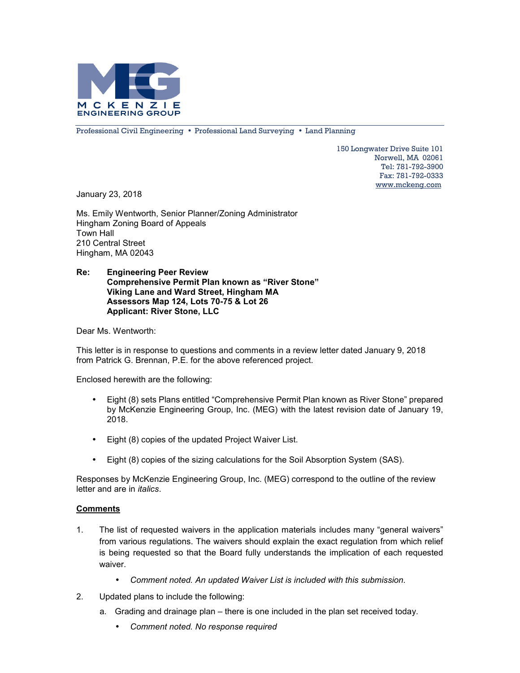

Professional Civil Engineering • Professional Land Surveying • Land Planning

150 Longwater Drive Suite 101 Norwell, MA 02061 Tel: 781-792-3900 Fax: 781-792-0333 www.mckeng.com

January 23, 2018

Ms. Emily Wentworth, Senior Planner/Zoning Administrator Hingham Zoning Board of Appeals Town Hall 210 Central Street Hingham, MA 02043

## **Re: Engineering Peer Review Comprehensive Permit Plan known as "River Stone" Viking Lane and Ward Street, Hingham MA Assessors Map 124, Lots 70-75 & Lot 26 Applicant: River Stone, LLC**

Dear Ms. Wentworth:

This letter is in response to questions and comments in a review letter dated January 9, 2018 from Patrick G. Brennan, P.E. for the above referenced project.

Enclosed herewith are the following:

- Eight (8) sets Plans entitled "Comprehensive Permit Plan known as River Stone" prepared by McKenzie Engineering Group, Inc. (MEG) with the latest revision date of January 19, 2018.
- Eight (8) copies of the updated Project Waiver List.
- Eight (8) copies of the sizing calculations for the Soil Absorption System (SAS).

Responses by McKenzie Engineering Group, Inc. (MEG) correspond to the outline of the review letter and are in *italics*.

## **Comments**

- 1. The list of requested waivers in the application materials includes many "general waivers" from various regulations. The waivers should explain the exact regulation from which relief is being requested so that the Board fully understands the implication of each requested waiver.
	- *Comment noted. An updated Waiver List is included with this submission.*
- 2. Updated plans to include the following:
	- a. Grading and drainage plan there is one included in the plan set received today.
		- *Comment noted. No response required*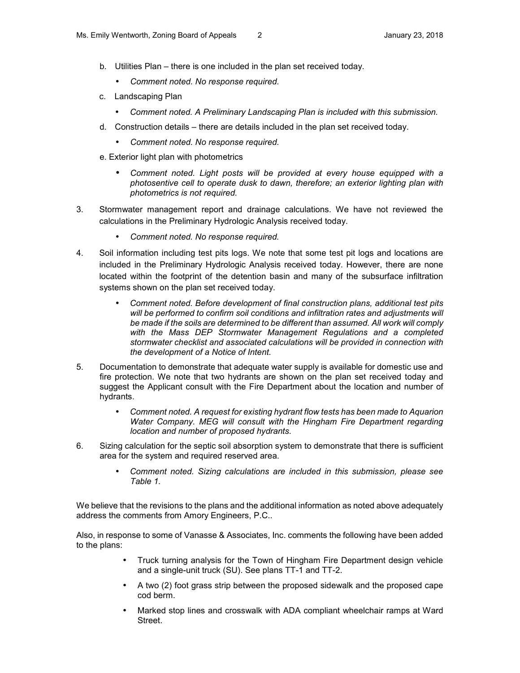- b. Utilities Plan there is one included in the plan set received today.
	- *Comment noted. No response required.*
- c. Landscaping Plan
	- *Comment noted. A Preliminary Landscaping Plan is included with this submission.*
- d. Construction details there are details included in the plan set received today.
	- *Comment noted. No response required.*
- e. Exterior light plan with photometrics
	- *Comment noted. Light posts will be provided at every house equipped with a photosentive cell to operate dusk to dawn, therefore; an exterior lighting plan with photometrics is not required.*
- 3. Stormwater management report and drainage calculations. We have not reviewed the calculations in the Preliminary Hydrologic Analysis received today.
	- *Comment noted. No response required.*
- 4. Soil information including test pits logs. We note that some test pit logs and locations are included in the Preliminary Hydrologic Analysis received today. However, there are none located within the footprint of the detention basin and many of the subsurface infiltration systems shown on the plan set received today.
	- *Comment noted. Before development of final construction plans, additional test pits will be performed to confirm soil conditions and infiltration rates and adjustments will be made if the soils are determined to be different than assumed. All work will comply with the Mass DEP Stormwater Management Regulations and a completed stormwater checklist and associated calculations will be provided in connection with the development of a Notice of Intent.*
- 5. Documentation to demonstrate that adequate water supply is available for domestic use and fire protection. We note that two hydrants are shown on the plan set received today and suggest the Applicant consult with the Fire Department about the location and number of hydrants.
	- *Comment noted. A request for existing hydrant flow tests has been made to Aquarion Water Company. MEG will consult with the Hingham Fire Department regarding location and number of proposed hydrants.*
- 6. Sizing calculation for the septic soil absorption system to demonstrate that there is sufficient area for the system and required reserved area.
	- *Comment noted. Sizing calculations are included in this submission, please see Table 1.*

We believe that the revisions to the plans and the additional information as noted above adequately address the comments from Amory Engineers, P.C..

Also, in response to some of Vanasse & Associates, Inc. comments the following have been added to the plans:

- Truck turning analysis for the Town of Hingham Fire Department design vehicle and a single-unit truck (SU). See plans TT-1 and TT-2.
- A two (2) foot grass strip between the proposed sidewalk and the proposed cape cod berm.
- Marked stop lines and crosswalk with ADA compliant wheelchair ramps at Ward Street.